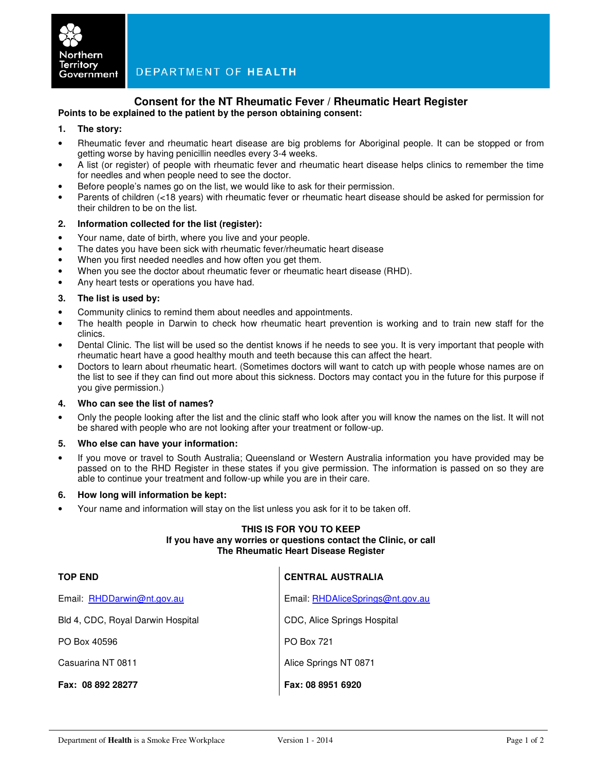

# **Consent for the NT Rheumatic Fever / Rheumatic Heart Register**

**Points to be explained to the patient by the person obtaining consent:** 

## **1. The story:**

- Rheumatic fever and rheumatic heart disease are big problems for Aboriginal people. It can be stopped or from getting worse by having penicillin needles every 3-4 weeks.
- A list (or register) of people with rheumatic fever and rheumatic heart disease helps clinics to remember the time for needles and when people need to see the doctor.
- Before people's names go on the list, we would like to ask for their permission.
- Parents of children (<18 years) with rheumatic fever or rheumatic heart disease should be asked for permission for their children to be on the list.

## **2. Information collected for the list (register):**

- Your name, date of birth, where you live and your people.
- The dates you have been sick with rheumatic fever/rheumatic heart disease
- When you first needed needles and how often you get them.
- When you see the doctor about rheumatic fever or rheumatic heart disease (RHD).
- Any heart tests or operations you have had.

## **3. The list is used by:**

- Community clinics to remind them about needles and appointments.
- The health people in Darwin to check how rheumatic heart prevention is working and to train new staff for the clinics.
- Dental Clinic. The list will be used so the dentist knows if he needs to see you. It is very important that people with rheumatic heart have a good healthy mouth and teeth because this can affect the heart.
- Doctors to learn about rheumatic heart. (Sometimes doctors will want to catch up with people whose names are on the list to see if they can find out more about this sickness. Doctors may contact you in the future for this purpose if you give permission.)

#### **4. Who can see the list of names?**

• Only the people looking after the list and the clinic staff who look after you will know the names on the list. It will not be shared with people who are not looking after your treatment or follow-up.

#### **5. Who else can have your information:**

• If you move or travel to South Australia; Queensland or Western Australia information you have provided may be passed on to the RHD Register in these states if you give permission. The information is passed on so they are able to continue your treatment and follow-up while you are in their care.

#### **6. How long will information be kept:**

• Your name and information will stay on the list unless you ask for it to be taken off.

## **THIS IS FOR YOU TO KEEP If you have any worries or questions contact the Clinic, or call The Rheumatic Heart Disease Register**

| <b>TOP END</b>                    | <b>CENTRAL AUSTRALIA</b>         |
|-----------------------------------|----------------------------------|
| Email: RHDDarwin@nt.gov.au        | Email: RHDAliceSprings@nt.gov.au |
| Bld 4, CDC, Royal Darwin Hospital | CDC, Alice Springs Hospital      |
| PO Box 40596                      | <b>PO Box 721</b>                |
| Casuarina NT 0811                 | Alice Springs NT 0871            |
| Fax: 08 892 28277                 | Fax: 08 8951 6920                |